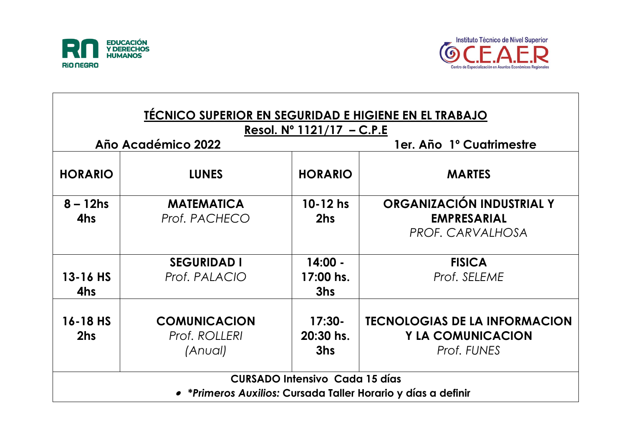



| <b>TÉCNICO SUPERIOR EN SEGURIDAD E HIGIENE EN EL TRABAJO</b><br>Resol. $N^{\circ}$ 1121/17 – C.P.E |                                                 |                                       |                                                                                 |  |  |  |  |
|----------------------------------------------------------------------------------------------------|-------------------------------------------------|---------------------------------------|---------------------------------------------------------------------------------|--|--|--|--|
| Año Académico 2022                                                                                 |                                                 |                                       | 1er. Año 1º Cuatrimestre                                                        |  |  |  |  |
| <b>HORARIO</b>                                                                                     | <b>LUNES</b>                                    | <b>HORARIO</b>                        | <b>MARTES</b>                                                                   |  |  |  |  |
| $8 - 12$ hs<br>4hs                                                                                 | <b>MATEMATICA</b><br>Prof. PACHECO              | $10 - 12$ hs<br>2hs                   | ORGANIZACIÓN INDUSTRIAL Y<br><b>EMPRESARIAL</b><br>PROF. CARVALHOSA             |  |  |  |  |
| $13 - 16$ HS<br>4hs                                                                                | <b>SEGURIDAD I</b><br>Prof. PALACIO             | $14:00 -$<br>17:00 hs.<br>3hs         | <b>FISICA</b><br>Prof. SELEME                                                   |  |  |  |  |
| $16 - 18$ HS<br>2hs                                                                                | <b>COMUNICACION</b><br>Prof. ROLLERI<br>(Anual) | $17:30-$<br>20:30 hs.<br>3hs          | <b>TECNOLOGIAS DE LA INFORMACION</b><br><b>Y LA COMUNICACION</b><br>Prof. FUNES |  |  |  |  |
|                                                                                                    |                                                 | <b>CURSADO Intensivo Cada 15 días</b> | • *Primeros Auxilios: Cursada Taller Horario y días a definir                   |  |  |  |  |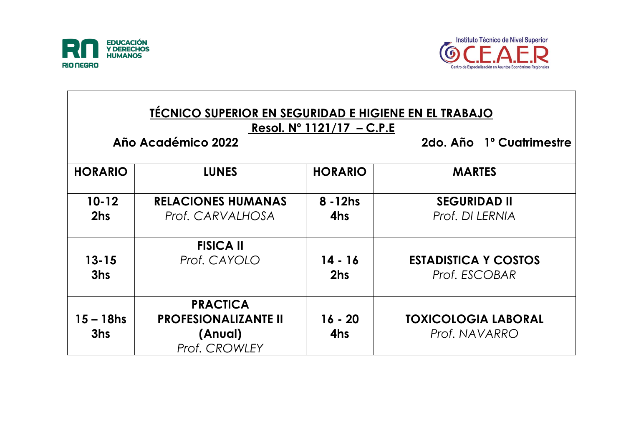

Г



| <b>TÉCNICO SUPERIOR EN SEGURIDAD E HIGIENE EN EL TRABAJO</b><br>Resol. $N^{\circ}$ 1121/17 – C.P.E<br>Año Académico 2022<br>2do. Año 1º Cuatrimestre |                                                                                   |                    |                                              |  |  |
|------------------------------------------------------------------------------------------------------------------------------------------------------|-----------------------------------------------------------------------------------|--------------------|----------------------------------------------|--|--|
| <b>HORARIO</b>                                                                                                                                       | <b>LUNES</b>                                                                      | <b>HORARIO</b>     | <b>MARTES</b>                                |  |  |
| $10 - 12$<br>2hs                                                                                                                                     | <b>RELACIONES HUMANAS</b><br>Prof. CARVALHOSA                                     | $8 - 12$ hs<br>4hs | <b>SEGURIDAD II</b><br>Prof. DI LERNIA       |  |  |
| $13 - 15$<br>3hs                                                                                                                                     | <b>FISICA II</b><br>Prof. CAYOLO                                                  | $14 - 16$<br>2hs   | <b>ESTADISTICA Y COSTOS</b><br>Prof. ESCOBAR |  |  |
| 15 – 18hs<br>3hs                                                                                                                                     | <b>PRACTICA</b><br><b>PROFESIONALIZANTE II</b><br>(Anual)<br><b>Prof. CROWLEY</b> | $16 - 20$<br>4hs   | <b>TOXICOLOGIA LABORAL</b><br>Prof. NAVARRO  |  |  |